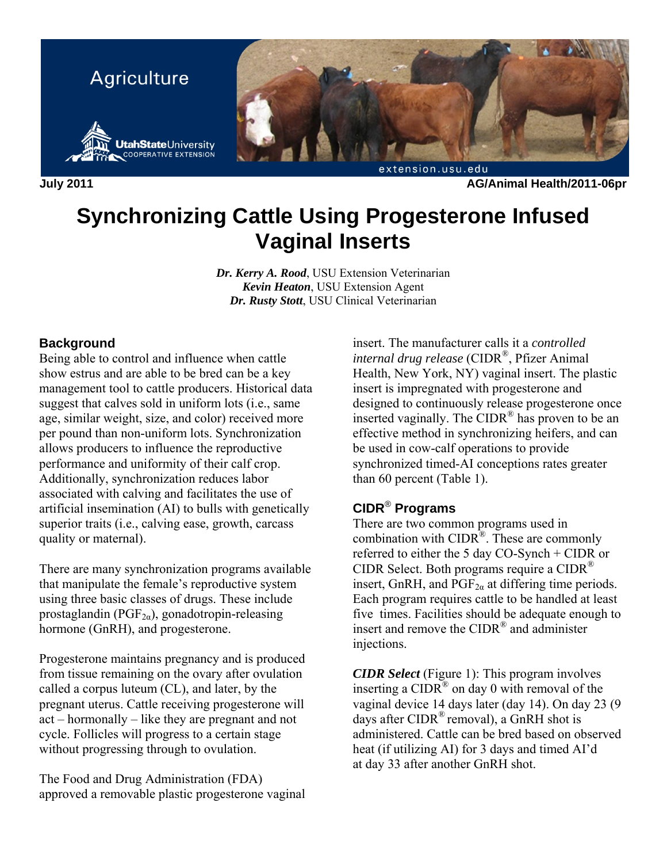

**July 2011 AG/Animal Health/2011-06pr** 

## **Synchronizing Cattle Using Progesterone Infused Vaginal Inserts**

*Dr. Kerry A. Rood*, USU Extension Veterinarian *Kevin Heaton*, USU Extension Agent *Dr. Rusty Stott*, USU Clinical Veterinarian

## **Background**

Being able to control and influence when cattle show estrus and are able to be bred can be a key management tool to cattle producers. Historical data suggest that calves sold in uniform lots (i.e., same age, similar weight, size, and color) received more per pound than non-uniform lots. Synchronization allows producers to influence the reproductive performance and uniformity of their calf crop. Additionally, synchronization reduces labor associated with calving and facilitates the use of artificial insemination (AI) to bulls with genetically superior traits (i.e., calving ease, growth, carcass quality or maternal).

There are many synchronization programs available that manipulate the female's reproductive system using three basic classes of drugs. These include prostaglandin ( $PGF_{2a}$ ), gonadotropin-releasing hormone (GnRH), and progesterone.

Progesterone maintains pregnancy and is produced from tissue remaining on the ovary after ovulation called a corpus luteum (CL), and later, by the pregnant uterus. Cattle receiving progesterone will act – hormonally – like they are pregnant and not cycle. Follicles will progress to a certain stage without progressing through to ovulation.

The Food and Drug Administration (FDA) approved a removable plastic progesterone vaginal insert. The manufacturer calls it a *controlled internal drug release* (CIDR®, Pfizer Animal Health, New York, NY) vaginal insert. The plastic insert is impregnated with progesterone and designed to continuously release progesterone once inserted vaginally. The CIDR® has proven to be an effective method in synchronizing heifers, and can be used in cow-calf operations to provide synchronized timed-AI conceptions rates greater than 60 percent (Table 1).

## **CIDR**® **Programs**

There are two common programs used in combination with  $CIDR^{\circledR}$ . These are commonly referred to either the 5 day CO-Synch + CIDR or CIDR Select. Both programs require a CIDR® insert, GnRH, and  $PGF_{2\alpha}$  at differing time periods. Each program requires cattle to be handled at least five times. Facilities should be adequate enough to insert and remove the CIDR® and administer injections.

*CIDR Select* (Figure 1): This program involves inserting a  $CIDR^{\circledR}$  on day 0 with removal of the vaginal device 14 days later (day 14). On day 23 (9 days after  $CIDR^{\circledR}$  removal), a GnRH shot is administered. Cattle can be bred based on observed heat (if utilizing AI) for 3 days and timed AI'd at day 33 after another GnRH shot.